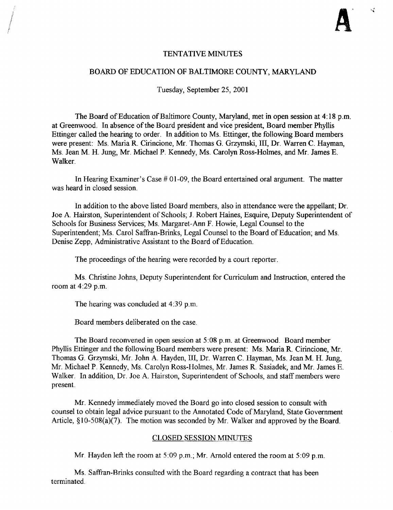чÅ

## TENTATIVE MINUTES

### BOARD OF EDUCATION OF BALTIMORE COUNTY, MARYLAND

Tuesday, September 25, 2001

The Board of Education of Baltimore County, Maryland, met in open session at 4:18 p.m. at Greenwood. In absence ofthe Board president and vice president, Board member Phyllis Ettinger called the hearing to order. In addition to Ms. Ettinger, the following Board members were present: Ms. Maria R. Cirincione, Mr. Thomas G. Grzymski, III, Dr. Warren C. Hayman, Ms. Jean M. H. Jung, Mr. Michael <sup>P</sup> . Kennedy, Ms. Carolyn Ross-Holmes, and Mr. James E. Walker.

In Hearing Examiner's Case # 01-09, the Board entertained oral argument. The matter was heard in closed session.

In addition to the above listed Board members, also in attendance were the appellant; Dr. Joe A. Hairston, Superintendent of Schools; <sup>J</sup> . Robert Haines, Esquire, Deputy Superintendent of Schools for Business Services; Ms. Margaret-Ann F. Howie, Legal Counsel to the Superintendent; Ms. Carol Saffran-Brinks, Legal Counsel to the Board of Education; and Ms. Denise Zepp, Administrative Assistant to the Board of Education.

The proceedings of the hearing were recorded by a court reporter.

Ms. Christine Johns, Deputy Superintendent for Curriculum and Instruction, entered the room at 4:29 p.m.

The hearing was concluded at  $4:39$  p.m.

Board members deliberated on the case.

The Board reconvened in open session at 5:08 p.m. at Greenwood. Board member Phyllis Ettinger and the following Board members were present: Ms. Maria R. Cirincione, Mr. Thomas G. Grzymski, Mr. John A. Hayden, III, Dr. Warren C. Hayman, Ms. Jean M. H. Jung, Mr. Michael P. Kennedy, Ms. Carolyn Ross-Holmes, Mr. James R. Sasiadek, and Mr. James E . Walker. In addition, Dr. Joe A. Hairston, Superintendent of Schools, and staff members were present.

Mr. Kennedy immediately moved the Board go into closed session to consult with counsel to obtain legal advice pursuant to the Annotated Code of Maryland, State Government Article,  $\S$ 10-508(a)(7). The motion was seconded by Mr. Walker and approved by the Board.

#### CLOSED SESSION MINUTES

Mr. Hayden left the room at  $5:09$  p.m., Mr. Arnold entered the room at  $5:09$  p.m.

Ms. Saffran-Brinks consulted with the Board regarding <sup>a</sup> contract that has been terminated .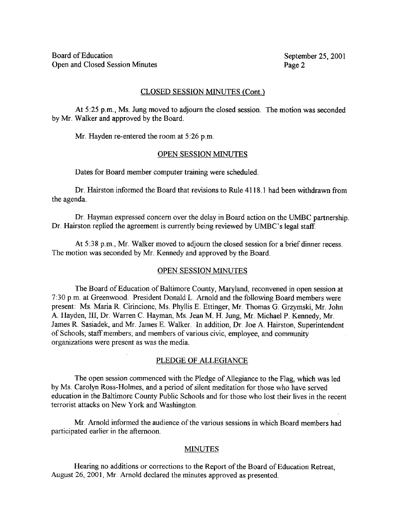## CLOSED SESSION MINUTES (Cont.)

At 5:25 p.m., Ms. Jung moved to adjourn the closed session. The motion was seconded by Mr. Walker and approved by the Board.

Mr. Hayden re-entered the room at 5:26 p.m.

## OPEN SESSION MINUTES

Dates for Board member computer training were scheduled.

Dr. Hairston informed the Board that revisions to Rule 4118-1 had been withdrawn from the agenda.

Dr. Hayman expressed concern over the delay in Board action on the UMBC partnership. Dr. Hairston replied the agreement is currently being reviewed by UMBC's legal staff.

At 5:38 p.m., Mr. Walker moved to adjourn the closed session for a brief dinner recess. The motion was seconded by Mr. Kennedy and approved by the Board.

## OPEN SESSION MINUTES

The Board of Education of Baltimore County, Maryland, reconvened in open session at 7 :30 p.m. at Greenwood, President Donald L. Arnold and the following Board members were present: Ms. Maria R. Cirincione, Ms. Phyllis E. Ettinger, Mr. Thomas G. Grzymski, Mr. John A. Hayden, III, Dr. Warren C. Hayman, Ms. Jean M. H. Jung, Mr. Michael P. Kennedy, Mr. James R. Sasiadek, and Mr. James E. Walker. In addition, Dr. Joe A. Hairston, Superintendent of Schools; staff members; and members of various civic, employee, and community organizations were present as was the media.

## PLEDGE OF ALLEGIANCE

The open session commenced with the Pledge of Allegiance to the Flag, which was led by Ms . Carolyn Ross-Holmes, and <sup>a</sup> period of silent meditation for those who have served education in the Baltimore County Public Schools and for those who lost their lives in the recent terrorist attacks on New York and Washington.

Mr. Arnold informed the audience of the various sessions in which Board members had participated earlier in the afternoon.

# MINUTES

Hearing no additions or corrections to the Report of the Board of Education Retreat, August 26, 2001, Mr. Arnold declared the minutes approved as presented.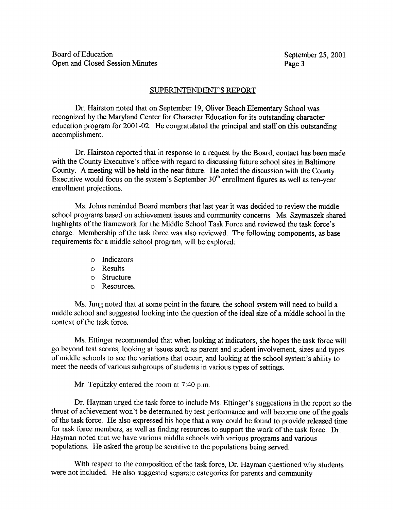## SUPERINTENDENT'S REPORT

Dr. Hairston noted that on September 19, Oliver Beach Elementary School was recognized by the Maryland Center for Character Education for its outstanding character education program for 2001-02. He congratulated the principal and staff on this outstanding accomplishment.

Dr. Hairston reported that in response to <sup>a</sup> request by the Board, contact has been made with the County Executive's office with regard to discussing future school sites in Baltimore County. A meeting will be held in the near future. He noted the discussion with the County Executive would focus on the system's September  $30<sup>th</sup>$  enrollment figures as well as ten-year enrollment projections.

Ms. Johns reminded Board members that last year it was decided to review the middle school programs based on achievement issues and community concerns. Ms. Szymaszek shared highlights of the framework for the Middle School Task Force and reviewed the task force's charge. Membership of the task force was also reviewed. The following components, as base requirements for a middle school program, will be explored:

- o Indicators
- o Results
- o Structure
- o Resources .

Ms. Jung noted that at some point in the future, the school system will need to build <sup>a</sup> middle school and suggested looking into the question of the ideal size of a middle school in the context of the task force.

Ms. Ettinger recommended that when looking at indicators, she hopes the task force will go beyond test scores, looking at issues such as parent and student involvement, sizes and types of middle schools to see the variations that occur, and looking at the school system's ability to meet the needs of various subgroups of students in various types of settings.

Mr. Teplitzky entered the room at <sup>7</sup> :40 p.m.

Dr. Hayman urged the task force to include Ms. Ettinger's suggestions in the report so the thrust of achievement won't be determined by test performance and will become one of the goals of the task force. He also expressed his hope that <sup>a</sup> way could be found to provide released time for task force members, as well as finding resources to support the work of the task force. Dr. Hayman noted that we have various middle schools with various programs and various populations. He asked the group be sensitive to the populations being served.

With respect to the composition of the task force, Dr. Hayman questioned why students were not included. He also suggested separate categories for parents and community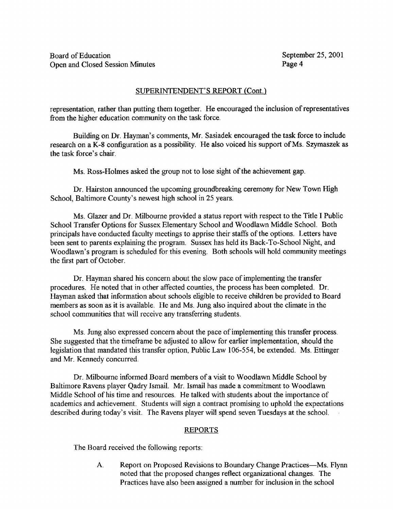# SUPERINTENDENT'S REPORT (Cont.)

representation, rather than putting them together. He encouraged the inclusion of representatives from the higher education community on the task force.

Building on Dr. Hayman's comments, Mr. Sasiadek encouraged the task force to include research on a K-8 configuration as a possibility. He also voiced his support of Ms. Szymaszek as the task force's chair .

Ms. Ross-Holmes asked the group not to lose sight of the achievement gap.

Dr. Hairston announced the upcoming groundbreaking ceremony for New Town High School, Baltimore County's newest high school in 25 years.

Ms. Glazer and Dr. Milbourne provided <sup>a</sup> status report with respect to the Title <sup>I</sup> Public School Transfer Options for Sussex Elementary School and Woodlawn Middle School . Both principals have conducted faculty meetings to apprise their staffs of the options. Letters have been sent to parents explaining the program. Sussex has held its Back-To-School Night, and Woodlawn's program is scheduled for this evening. Both schools will hold community meetings the first part of October.

Dr. Hayman shared his concern about the slow pace of implementing the transfer procedures. He noted that in other affected counties, the process has been completed. Dr. Hayman asked that information about schools eligible to receive children be provided to Board members as soon as it is available. He and Ms. Jung also inquired about the climate in the school communities that will receive any transferring students.

Ms. Jung also expressed concern about the pace of implementing this transfer process . She suggested that the timeframe be adjusted to allow for earlier implementation, should the legislation that mandated this transfer option, Public Law 106-554, be extended. Ms. Ettinger and Mr. Kennedy concurred.

Dr. Milbourne informed Board members of a visit to Woodlawn Middle School by Baltimore Ravens player Qadry Ismail . Mr. Ismail has made a commitment to Woodlawn Middle School of his time and resources. He talked with students about the importance of academics and achievement. Students will sign a contract promising to uphold the expectations described during today's visit. The Ravens player will spend seven Tuesdays at the school.

# REPORTS

The Board received the following reports :

A. Report on Proposed Revisions to Boundary Change Practices—Ms. Flynn noted that the proposed changes reflect organizational changes. The Practices have also been assigned <sup>a</sup> number for inclusion in the school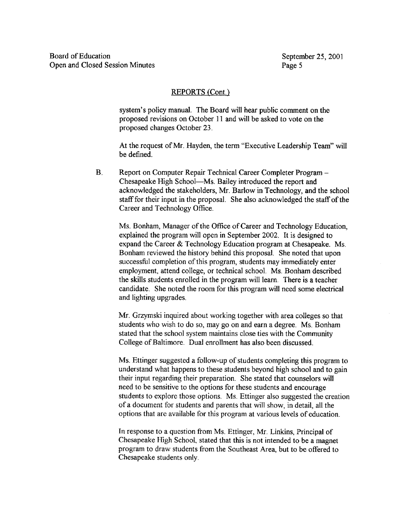# REPORTS (Cont.)

system's policy manual. The Board will hear public comment on the proposed revisions on October 11 and will be asked to vote on the proposed changes October 23 .

At the request of Mr. Hayden, the term "Executive Leadership Team" will be defined.

B. Report on Computer Repair Technical Career Completer Program -Chesapeake High School-Ms. Bailey introduced the report and acknowledged the stakeholders, Mr. Barlow in Technology, and the school staff for their input in the proposal. She also acknowledged the staff of the Career and Technology Office .

Ms. Bonham, Manager of the Office of Career and Technology Education, explained the program will open in September 2002. It is designed to expand the Career & Technology Education program at Chesapeake. Ms. Bonham reviewed the history behind this proposal. She noted that upon successful completion of this program, students may immediately enter employment, attend college, or technical school. Ms . Bonham described the skills students enrolled in the program will learn. There is a teacher candidate . She noted the room for this program will need some electrical and lighting upgrades.

Mr. Grzymski inquired about working together with area colleges so that students who wish to do so, may go on and earn <sup>a</sup> degree. Ms. Bonham stated that the school system maintains close ties with the Community College of Baltimore. Dual enrollment has also been discussed.

Ms. Ettinger suggested <sup>a</sup> follow-up of students completing this program to understand what happens to these students beyond high school and to gain their input regarding their preparation . She stated that counselors will need to be sensitive to the options for these students and encourage students to explore those options. Ms. Ettinger also suggested the creation of a document for students and parents that will show, in detail, all the options that are available for this program at various levels of education.

In response to <sup>a</sup> question from Ms. Ettinger, Mr. Linkins, Principal of Chesapeake High School, stated that this is not intended to be a magnet program to draw students from the Southeast Area, but to be offered to Chesapeake students only.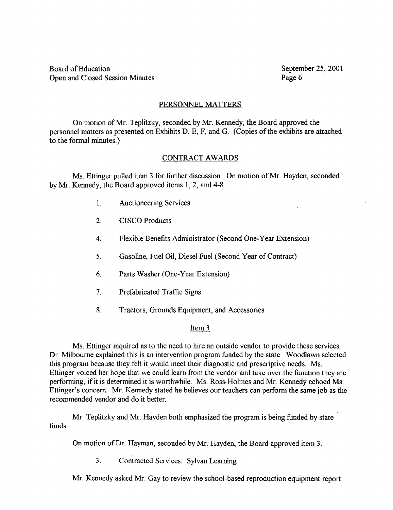Board of Education September 25, 2001<br>Open and Closed Session Minutes Page 6 Open and Closed Session Minutes

## PERSONNEL MATTERS

On motion of Mr. Teplitzky, seconded by Mr. Kennedy, the Board approved the personnel matters as presented on Exhibits D, E, F, and G. (Copies of the exhibits are attached to the formal minutes .)

## CONTRACT AWARDS

Ms. Ettinger pulled item <sup>3</sup> for further discussion. On motion of Mr. Hayden, seconded by Mr. Kennedy, the Board approved items 1, 2, and 4-8.

- <sup>1</sup> . Auctioneering Services
- 2. CISCO Products
- 4. Flexible Benefits Administrator (Second One-Year Extension)
- 5. Gasoline, Fuel Oil, Diesel Fuel (Second Year of Contract)
- 6. Parts Washer (One-Year Extension)
- 7. Prefabricated Traffic Signs
- 8 Tractors, Grounds Equipment, and Accessories

## Item 3

Ms. Ettinger inquired as to the need to hire an outside vendor to provide these services. Dr. Milbourne explained this is an intervention program funded by the state. Woodlawn selected this program because they felt it would meet their diagnostic and prescriptive needs. Ms. Ettinger voiced her hope that we could learn from the vendor and take over the function they are performing, if it is determined it is worthwhile. Ms. Ross-Holmes and Mr. Kennedy echoed Ms. Ettinger's concern. Mr. Kennedy stated he believes our teachers can perform the same job as the recommended vendor and do it better.

funds. Mr. Teplitzky and Mr. Hayden both emphasized the program is being funded by state

On motion of Dr. Hayman, seconded by Mr. Hayden, the Board approved item 3.

3 . Contracted Services: Sylvan Learning

Mr. Kennedy asked Mr. Gay to review the school-based reproduction equipment report.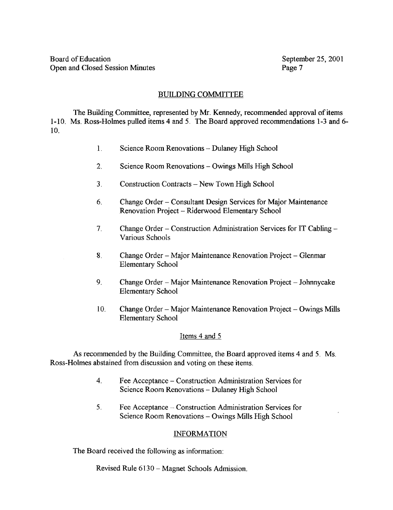# BUILDING COMMITTEE

The Building Committee, represented by Mr. Kennedy, recommended approval of items 1-10. Ms. Ross-Holmes pulled items <sup>4</sup> and <sup>5</sup> . The Board approved recommendations 1-3 and 6- 10.

- <sup>1</sup> . Science Room Renovations Dulaney High School
- 2. Science Room Renovations Owings Mills High School
- <sup>3</sup> . Construction Contracts New Town High School
- 6. Change Order Consultant Design Services for Major Maintenance Renovation Project - Riderwood Elementary School
- 7. Change Order - Construction Administration Services for IT Cabling - Various Schools
- 8. Change Order Major Maintenance Renovation Project Glenmar Elementary School
- 9. Change Order Major Maintenance Renovation Project Johnnycake Elementary School
- 10. Change Order Major Maintenance Renovation Project Owings Mills Elementary School

# Items 4 and <sup>5</sup>

As recommended by the Building Committee, the Board approved items 4 and 5. Ms. Ross-Holmes abstained from discussion and voting on these items.

- 4. Fee Acceptance Construction Administration Services for Science Room Renovations - Dulaney High School
- <sup>5</sup> . Fee Acceptance Construction Administration Services for Science Room Renovations - Owings Mills High School

# INFORMATION

The Board received the following as information:

Revised Rule 6130 - Magnet Schools Admission.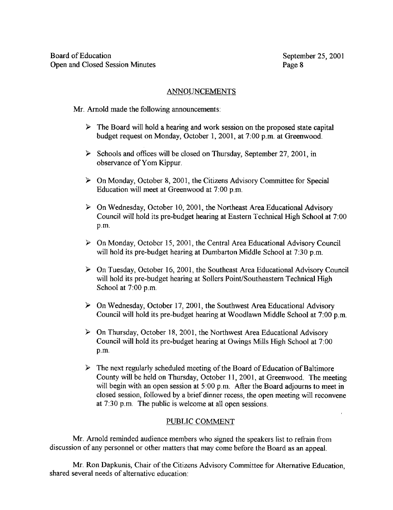# ANNOUNCEMENTS

Mr. Arnold made the following announcements:

- $\triangleright$  The Board will hold a hearing and work session on the proposed state capital budget request on Monday, October 1, 2001, at 7 :00 p.m. at Greenwood.
- $\triangleright$  Schools and offices will be closed on Thursday, September 27, 2001, in observance of Yom Kippur.
- $\triangleright$  On Monday, October 8, 2001, the Citizens Advisory Committee for Special Education will meet at Greenwood at 7:00 p.m.
- $\triangleright$  On Wednesday, October 10, 2001, the Northeast Area Educational Advisory Council will hold its pre-budget hearing at Eastern Technical High School at 7 :00 p.m.
- $\triangleright$  On Monday, October 15, 2001, the Central Area Educational Advisory Council will hold its pre-budget hearing at Dumbarton Middle School at 7:30 p.m.
- $\triangleright$  On Tuesday, October 16, 2001, the Southeast Area Educational Advisory Council will hold its pre-budget hearing at Sollers Point/Southeastern Technical High School at 7:00 p.m.
- $\triangleright$  On Wednesday, October 17, 2001, the Southwest Area Educational Advisory Council will hold its pre-budget hearing at Woodlawn Middle School at 7 :00 p.m.
- $\triangleright$  On Thursday, October 18, 2001, the Northwest Area Educational Advisory Council will hold its pre-budget hearing at Owings Mills High School at 7 :00 p.m.
- $\triangleright$  The next regularly scheduled meeting of the Board of Education of Baltimore County will be held on Thursday, October 11, 2001, at Greenwood. The meeting will begin with an open session at 5:00 p.m. After the Board adjourns to meet in closed session, followed by a brief dinner recess, the open meeting will reconvene at 7:30 p.m. The public is welcome at all open sessions.

# PUBLIC COMMENT

Mr. Arnold reminded audience members who signed the speakers list to refrain from discussion of any personnel or other matters that may come before the Board as an appeal .

Mr. Ron Dapkunis, Chair of the Citizens Advisory Committee for Alternative Education, shared several needs of alternative education: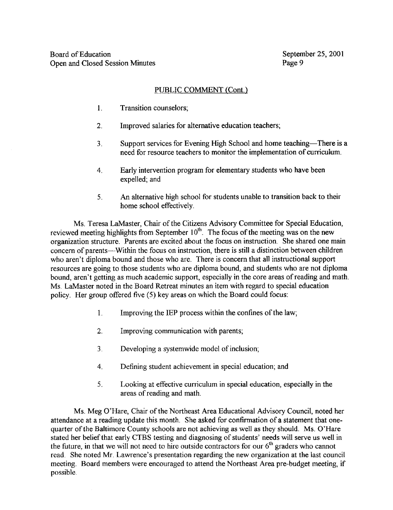# PUBLIC COMMENT (Cont.)

- 1. Transition counselors;
- $\overline{2}$ . Improved salaries for alternative education teachers;
- 3. Support services for Evening High School and home teaching—There is a need for resource teachers to monitor the implementation of curriculum.
- 4. Early intervention program for elementary students who have been expelled; and
- <sup>5</sup> . An alternative high school for students unable to transition back to their home school effectively.

Ms. Teresa LaMaster, Chair of the Citizens Advisory Committee for Special Education, reviewed meeting highlights from September  $10<sup>th</sup>$ . The focus of the meeting was on the new organization structure. Parents are excited about the focus on instruction. She shared one main concern of parents---Within the focus on instruction, there is still a distinction between children who aren't diploma bound and those who are. There is concern that all instructional support resources are going to those students who are diploma bound, and students who are not diploma bound, aren't getting as much academic support, especially in the core areas of reading and math. Ms. LaMaster noted in the Board Retreat minutes an item with regard to special education policy. Her group offered five (5) key areas on which the Board could focus:

- 1. Improving the IEP process within the confines of the law;
- 2. Improving communication with parents;
- 3 . Developing a systemwide model of inclusion,
- 4. Defining student achievement in special education; and
- <sup>5</sup> . Looking at effective curriculum in special education, especially in the areas of reading and math.

Ms. Meg O'Hare, Chair of the Northeast Area Educational Advisory Council, noted her attendance at a reading update this month. She asked for confirmation of a statement that onequarter of the Baltimore County schools are not achieving as well as they should. Ms . O'Hare stated her belief that early CTBS testing and diagnosing of students' needs will serve us well in the future, in that we will not need to hire outside contractors for our  $6<sup>th</sup>$  graders who cannot read. She noted Mr. Lawrence's presentation regarding the new organization at the last council meeting. Board members were encouraged to attend the Northeast Area pre-budget meeting, if possible.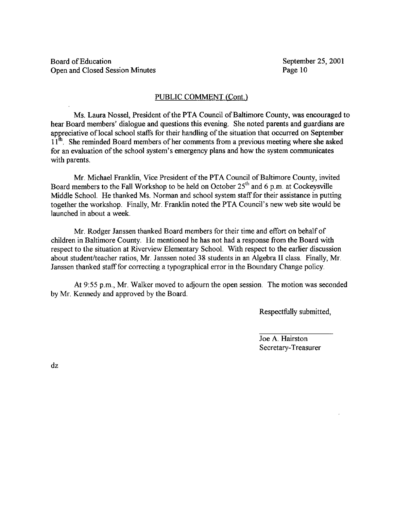Board of Education<br>
Open and Closed Session Minutes<br>
Page 10<br>
September 25, 2001 Open and Closed Session Minutes

### PUBLIC COMMENT (Cont.)

Ms. Laura Nossel, President of the PTA Council of Baltimore County, was encouraged to hear Board members' dialogue and questions this evening. She noted parents and guardians are appreciative of local school staffs for their handling of the situation that occurred on September  $11<sup>th</sup>$ . She reminded Board members of her comments from a previous meeting where she asked for an evaluation of the school system's emergency plans and how the system communicates with parents.

Mr. Michael Franklin, Vice President of the PTA Council of Baltimore County, invited Board members to the Fall Workshop to be held on October  $25<sup>th</sup>$  and 6 p.m. at Cockeysville Middle School. He thanked Ms. Norman and school system staff for their assistance in putting together the workshop. Finally, Mr. Franklin noted the PTA Council's new web site would be launched in about a week.

Mr. Rodger Janssen thanked Board members for their time and effort on behalfof children in Baltimore County. He mentioned he has not had a response from the Board with respect to the situation at Riverview Elementary School. With respect to the earlier discussion about student/teacher ratios, Mr. Janssen noted 38 students in an Algebra II class. Finally, Mr. Janssen thanked staff for correcting a typographical error in the Boundary Change policy .

At 9:55 p.m., Mr. Walker moved to adjourn the open session. The motion was seconded by Mr. Kennedy and approved by the Board.

Respectfully submitted,

Joe A. Hairston Secretary-Treasurer

dz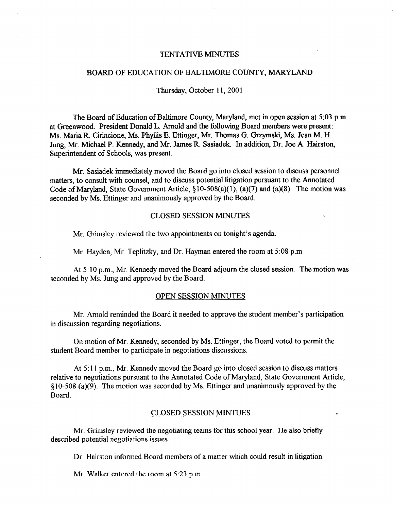#### TENTATIVE MINUTES

## BOARD OF EDUCATION OF BALTIMORE COUNTY, MARYLAND

#### Thursday, October 11, 2001

The Board of Education of Baltimore County, Maryland, met in open session at 5:03 p.m. at Greenwood. President Donald L. Arnold and the following Board members were present: Ms. Maria R. Cirincione, Ms. Phyllis E. Ettinger, Mr. Thomas G. Grzymski, Ms. Jean M. H. Jung, Mr. Michael P. Kennedy, and Mr. James R. Sasiadek. In addition, Dr. Joe A. Hairston, Superintendent of Schools, was present.

Mr. Sasiadek immediately moved the Board go into closed session to discuss personnel matters, to consult with counsel, and to discuss potential litigation pursuant to the Annotated Code of Maryland, State Government Article,  $\S 10-508(a)(1)$ ,  $(a)(7)$  and  $(a)(8)$ . The motion was seconded by Ms. Ettinger and unanimously approved by the Board.

#### CLOSED SESSION MINUTES

Mr. Grimsley reviewed the two appointments on tonight's agenda.

Mr. Hayden, Mr. Teplitzky, and Dr. Hayman entered the room at 5:08 p.m.

At  $5:10$  p.m., Mr. Kennedy moved the Board adjourn the closed session. The motion was seconded by Ms. Jung and approved by the Board.

#### OPEN SESSION MINUTES

Mr. Arnold reminded the Board it needed to approve the student member's participation in discussion regarding negotiations.

On motion of Mr. Kennedy, seconded by Ms. Ettinger, the Board voted to permit the student Board member to participate in negotiations discussions .

At <sup>5</sup> :11 p.m., Mr. Kennedy moved the Board go into closed session to discuss matters relative to negotiations pursuant to the Annotated Code of Maryland, State Government Article, § 10-508 (a)(9) . The motion was seconded by Ms. Ettinger and unanimously approved by the Board.

### CLOSED SESSION MINTUES

Mr. Grimslcy reviewed the negotiating teams for this school year. He also briefly described potential negotiations issues.

Dr. Hairston informed Board members of a matter which could result in litigation.

Mr. Walker entered the room at 5:23 p.m.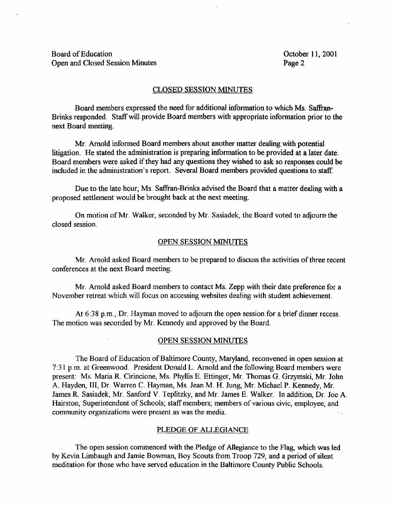Board of Education Constantine Constanting Constanting Constanting Constanting October 11, 2001<br>
Open and Closed Session Minutes Page 2 Open and Closed Session Minutes

## CLOSED SESSION MINUTES

Board members expressed the need for additional information to which Ms. Saffran-Brinks responded. Staff will provide Board members with appropriate information prior to the next Board meeting.

Mr. Arnold informed Board members about another matter dealing with potential litigation. He stated the administration is preparing information to be provided at a later date. Board members were asked if they had any questions they wished to ask so responses could be included in the administration's report. Several Board members provided questions to staff.

Due to the late hour, Ms. Saffran-Brinks advised the Board that <sup>a</sup> matter dealing with <sup>a</sup> proposed settlement would be brought back at the next meeting.

On motion of Mr. Walker, seconded by Mr. Sasiadek, the Board voted to adjourn-the closed session .

### OPEN SESSION MINUTES

Mr. Arnold asked Board members to be prepared to discuss the activities of three recent conferences at the next Board meeting.

Mr. Arnold asked Board members to contact Ms. Zepp with their date preference for <sup>a</sup> November retreat which will focus on accessing websites dealing with student achievement .

At  $6:38$  p.m., Dr. Hayman moved to adjourn the open session for a brief dinner recess. The motion was seconded by Mr. Kennedy and approved by the Board.

#### OPEN SESSION MINUTES

The Board of Education of Baltimore County, Maryland, reconvened in open session at 7 :31 p.m. at Greenwood. President Donald L. Arnold and the following Board members were present: Ms. Maria R. Cirincione, Ms. Phyllis E. Ettinger, Mr. Thomas G. Grzymski, Mr. John A. Hayden, 111, Dr. Warren C. Hayman, Ms . Jean M. H. Jung, Mr. Michael P. Kennedy, Mr. James R. Sasiadek, Mr. Sanford V. Teplitzky, and Mr. James E. Walker. In addition, Dr. Joe A. Hairston, Superintendent of Schools; staff members; members of various civic, employee, and community organizations were present as was the media.

### PLEDGE OF ALLEGIANCE

The open session commenced with the Pledge of Allegiance to the Flag, which was led by Kevin Limbaugh and Jamie Bowman, Boy Scouts from Troop 729, and a period of silent meditation for those who have served education in the Baltimore County Public Schools .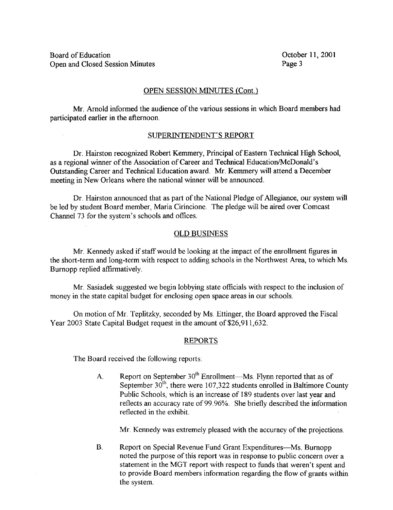## OPEN SESSION MINUTES (Cont.)

Mr. Arnold informed the audience of the various sessions in which Board members had participated earlier in the afternoon.

### SUPERINTENDENT'S REPORT

Dr. Hairston recognized Robert Kemmery, Principal of Eastern Technical High School, as a regional winner of the Association of Career and Technical Education/McDonald's Outstanding Career and Technical Education award. Mr. Kemmery will attend <sup>a</sup> December meeting in New Orleans where the national winner will be announced.

Dr. Hairston announced that as part of the National Pledge of Allegiance, our system will be led by student Board member, Maria Cirincione. The pledge will be aired over Comcast Channel 73 for the system's schools and offices .

## OLD BUSINESS

Mr. Kennedy asked if staff would be looking at the impact of the enrollment figures in the short-term and long-term with respect to adding schools in the Northwest Area, to which Ms. Burnopp replied affirmatively.

Mr. Sasiadek suggested we begin lobbying state officials with respect to the inclusion of money in the state capital budget for enclosing open space areas in our schools.

On motion of Mr. Teplitzky, seconded by Ms. Ettinger, the Board approved the Fiscal Year 2003 State Capital Budget request in the amount of \$26,911,632 .

### REPORTS

The Board received the following reports:

A. Report on September  $30<sup>th</sup>$  Enrollment—Ms. Flynn reported that as of September  $30<sup>th</sup>$ , there were 107,322 students enrolled in Baltimore County Public Schools, which is an increase of 189 students over last year and reflects an accuracy rate of 99 .96% . She briefly described the information reflected in the exhibit.

Mr. Kennedy was extremely pleased with the accuracy of the projections.

B. Report on Special Revenue Fund Grant Expenditures—Ms. Burnopp noted the purpose of this report was in response to public concern over <sup>a</sup> statement in the MGT report with respect to funds that weren't spent and to provide Board members information regarding the flow of grants within the system.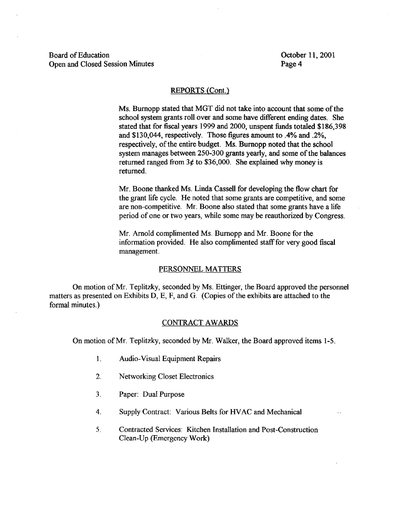Board of Education Corober 11, 2001<br>Open and Closed Session Minutes Page 4 Open and Closed Session Minutes

#### REPORTS (Cont.)

Ms. Burnopp stated that MGT did not take into account that some of the school system grants roll over and some have different ending dates. She stated that for fiscal years 1999 and 2000, unspent funds totaled \$186,398 and \$130,044, respectively. Those figures amount to .4% and .2%, respectively, of the entire budget. Ms. Burnopp noted that the school system manages between 250-300 grants yearly, and some of the balances returned ranged from  $3¢$  to \$36,000. She explained why money is returned.

Mr, Boone thanked Ms. Linda Cassell for developing the flow chart for the grant life cycle. He noted that some grants are competitive, and some are non-competitive. Mr. Boone also stated that some grants have <sup>a</sup> life period of one or two years, while some may be reauthorized by Congress.

Mr. Arnold complimented Ms. Burnopp and Mr. Boone for the information provided. He also complimented staff for very good fiscal management.

#### PERSONNEL MATTERS

On motion of Mr. Teplitzky, seconded by Ms. Ettinger, the Board approved the personnel matters as presented on Exhibits D, E, F, and G. (Copies of the exhibits are attached to the formal minutes.)

### CONTRACT AWARDS

On motion of Mr. Teplitzky, seconded by Mr. Walker, the Board approved items 1-5 .

- 1. Audio-Visual Equipment Repairs
- 2. Networking Closet Electronics
- <sup>3</sup> . Paper: Dual Purpose
- 4. Supply Contract: Various Belts for HVAC and Mechanical
- 5 . Contracted Services: Kitchen Installation and Post-Construction Clean-Up (Emergency Work)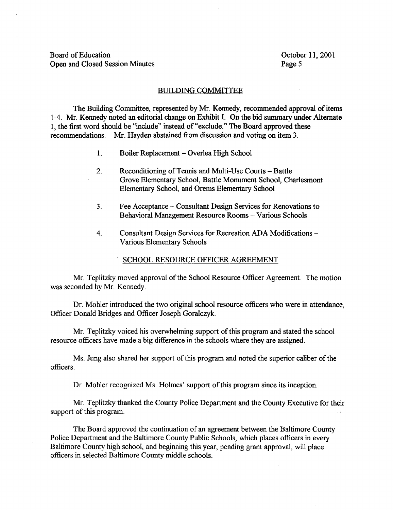### BUILDING COMMITTEE

The Building Committee, represented by Mr. Kennedy, recommended approval of items 1-4. Mr. Kennedy noted an editorial change on Exhibit I. On the bid summary under Alternate 1, the first word should be "include" instead of"exclude." The Board approved these recommendations. Mr. Hayden abstained from discussion and voting on item 3.

- 1. Boiler Replacement Overlea High School
- 2. Reconditioning of Tennis and Multi-Use Courts Battle Grove Elementary School, Battle Monument School, Charlesmont Elementary School, and Orems Elementary School
- <sup>3</sup> . Fee Acceptance Consultant Design Services for Renovations to Behavioral Management Resource Rooms -- Various Schools
- 4. Consultant Design Services for Recreation ADA Modifications Various Elementary Schools

## SCHOOL RESOURCE OFFICER AGREEMENT

Mr. Teplitzky moved approval of the School Resource Officer Agreement. The motion was seconded by Mr. Kennedy.

Dr. Mohler introduced the two original school resource officers who were in attendance, Officer Donald Bridges and Officer Joseph Goralczyk .

Mr. Teplitzky voiced his overwhelming support of this program and stated the school resource officers have made a big difference in the schools where they are assigned.

Ms. Jung also shared her support of this program and noted the superior caliber of the officers .

Dr. Mohler recognized Ms. Holmes' support of this program since its inception.

Mr. Teplitzky thanked the County Police Department and the County Executive for their support of this program.

The Board approved the continuation of an agreement between the Baltimore County Police Department and the Baltimore County Public Schools, which places officers in every Baltimore County high school, and beginning this year, pending grant approval, will place officers in selected Baltimore County middle schools.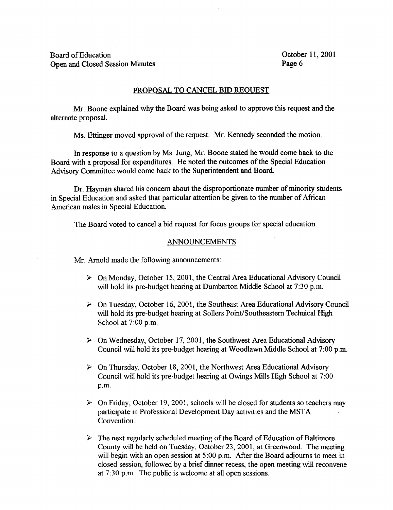Board of Education Costal Control of Education Cost of Education Cost of Education Cost of Education Cost of Cost of Page 6 Open and Closed Session Minutes

### PROPOSAL TO CANCEL BID REQUEST

Mr. Boone explained why the Board was being asked to approve this request and the alternate proposal.

Ms. Ettinger moved approval of the request. Mr. Kennedy seconded the motion.

In response to <sup>a</sup> question by Ms. Jung, Mr. Boone stated he would come back to the Board with a proposal for expenditures. He noted the outcomes of the Special Education Advisory Committee would come back to the Superintendent and Board.

Dr. Hayman shared his concern about the disproportionate number of minority students in Special Education and asked that particular attention be given to the number of African American males in Special Education.

The Board voted to cancel a bid request for focus groups for special education.

### ANNOUNCEMENTS

Mr. Arnold made the following announcements:

- $\triangleright$  On Monday, October 15, 2001, the Central Area Educational Advisory Council will hold its pre-budget hearing at Dumbarton Middle School at 7:30 p.m.
- $\triangleright$  On Tuesday, October 16, 2001, the Southeast Area Educational Advisory Council will hold its pre-budget hearing at Sollers Point/Southeastern Technical High School at 7:00 p.m.
- $\triangleright$  On Wednesday, October 17, 2001, the Southwest Area Educational Advisory Council will hold its pre-budget hearing at Woodlawn Middle School at 7 :00 p.m.
- $\triangleright$  On Thursday, October 18, 2001, the Northwest Area Educational Advisory Council will hold its pre-budget hearing at Owings Mills High School at 7 :00 p.m.
- $\triangleright$  On Friday, October 19, 2001, schools will be closed for students so teachers may participate in Professional Development Day activities and the MSTA Convention.
- $\triangleright$  The next regularly scheduled meeting of the Board of Education of Baltimore County will be held on Tuesday, October 23, 2001, at Greenwood. The meeting will begin with an open session at 5:00 p.m. After the Board adjourns to meet in closed session, followed by a brief dinner recess, the open meeting will reconvene at  $7:30$  p.m. The public is welcome at all open sessions.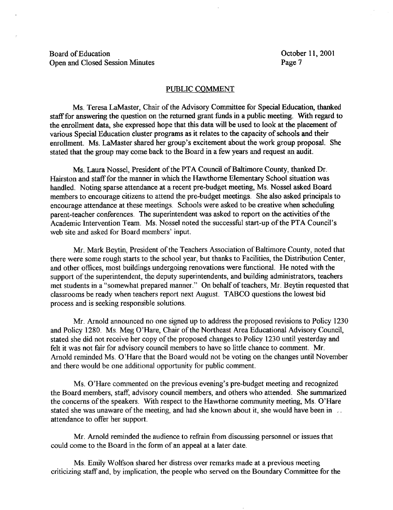Board of Education Constantine Constanting Constanting Constanting Constanting October 11, 2001<br>
October 11, 2001<br>
October 11, 2001 Open and Closed Session Minutes

#### PUBLIC COMMENT

Ms. Teresa LaMaster, Chair of the Advisory Committee for Special Education, thanked staff for answering the question on the returned grant funds in a public meeting. With regard to the enrollment data, she expressed hope that this data will be used to look at the placement of various Special Education cluster programs as it relates to the capacity of schools and their enrollment. Ms. LaMaster shared her group's excitement about the work group proposal. She stated that the group may come back to the Board in a few years and request an audit.

Ms. Laura Nossel, President of the PTA Council of Baltimore County, thanked Dr. Hairston and staff for the manner in which the Hawthorne Elementary School situation was handled. Noting sparse attendance at a recent pre-budget meeting, Ms. Nossel asked Board members to encourage citizens to attend the pre-budget meetings. She also asked principals to encourage attendance at these meetings. Schools were asked to be creative when scheduling parent-teacher conferences. The superintendent was asked to report on the activities of the Academic Intervention Team. Ms. Nossel noted the successful start-up of the PTA Council's web site and asked for Board members' input.

Mr. Mark Beytin, President of the Teachers Association of Baltimore County, noted that there were some rough starts to the school year, but thanks to Facilities, the Distribution Center, and other offices, most buildings undergoing renovations were functional . He noted with the support of the superintendent, the deputy superintendents, and building administrators, teachers met students in a "somewhat prepared manner." On behalf of teachers, Mr. Beytin requested that classrooms be ready when teachers report next August . TABCO questions the lowest bid process and is seeking responsible solutions .

Mr. Arnold announced no one signed up to address the proposed revisions to Policy 1230 and Policy 1280. Ms. Meg O'Hare, Chair of the Northeast Area Educational Advisory Council, stated she did not receive her copy of the proposed changes to Policy 1230 until yesterday and felt it was not fair for advisory council members to have so little chance to comment. Mr. Arnold reminded Ms. O'Hare that the Board would not be voting on the changes until November and there would be one additional opportunity for public comment.

Ms. O'Hare commented on the previous evening's pre-budget meeting and recognized the Board members, staff, advisory council members, and others who attended . She summarized the concerns of the speakers. With respect to the Hawthorne community meeting, Ms. O'Hare stated she was unaware of the meeting, and had she known about it, she would have been in attendance to offer her support.

Mr. Arnold reminded the audience to refrain from discussing personnel or issues that could come to the Board in the form of an appeal at a later date.

Ms . Emily Wolfson shared her distress over remarks made at <sup>a</sup> previous meeting criticizing staff and, by implication, the people who served on the Boundary Committee for the